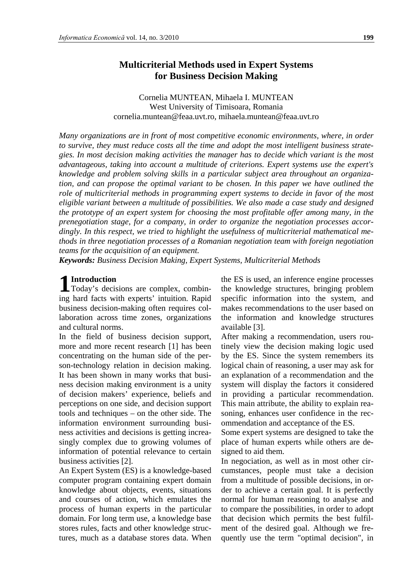## **Multicriterial Methods used in Expert Systems for Business Decision Making**

Cornelia MUNTEAN, Mihaela I. MUNTEAN West University of Timisoara, Romania cornelia.muntean@feaa.uvt.ro, mihaela.muntean@feaa.uvt.ro

*Many organizations are in front of most competitive economic environments, where, in order to survive, they must reduce costs all the time and adopt the most intelligent business strategies. In most decision making activities the manager has to decide which variant is the most advantageous, taking into account a multitude of criterions. Expert systems use the expert's knowledge and problem solving skills in a particular subject area throughout an organization, and can propose the optimal variant to be chosen. In this paper we have outlined the*  role of multicriterial methods in programming expert systems to decide in favor of the most *eligible variant between a multitude of possibilities. We also made a case study and designed the prototype of an expert system for choosing the most profitable offer among many, in the prenegotiation stage, for a company, in order to organize the negotiation processes accordingly. In this respect, we tried to highlight the usefulness of multicriterial mathematical methods in three negotiation processes of a Romanian negotiation team with foreign negotiation teams for the acquisition of an equipment.*

*Keywords: Business Decision Making, Expert Systems, Multicriterial Methods*

# **Introduction**

**1** Introduction<br>Today's decisions are complex, combining hard facts with experts' intuition. Rapid business decision-making often requires collaboration across time zones, organizations and cultural norms.

In the field of business decision support, more and more recent research [1] has been concentrating on the human side of the person-technology relation in decision making. It has been shown in many works that business decision making environment is a unity of decision makers' experience, beliefs and perceptions on one side, and decision support tools and techniques – on the other side. The information environment surrounding business activities and decisions is getting increasingly complex due to growing volumes of information of potential relevance to certain business activities [2].

An Expert System (ES) is a knowledge-based computer program containing expert domain knowledge about objects, events, situations and courses of action, which emulates the process of human experts in the particular domain. For long term use, a knowledge base stores rules, facts and other knowledge structures, much as a database stores data. When

the ES is used, an inference engine processes the knowledge structures, bringing problem specific information into the system, and makes recommendations to the user based on the information and knowledge structures available [3].

After making a recommendation, users routinely view the decision making logic used by the ES. Since the system remembers its logical chain of reasoning, a user may ask for an explanation of a recommendation and the system will display the factors it considered in providing a particular recommendation. This main attribute, the ability to explain reasoning, enhances user confidence in the recommendation and acceptance of the ES.

Some expert systems are designed to take the place of human experts while others are designed to aid them.

In negociation, as well as in most other circumstances, people must take a decision from a multitude of possible decisions, in order to achieve a certain goal. It is perfectly normal for human reasoning to analyse and to compare the possibilities, in order to adopt that decision which permits the best fulfilment of the desired goal. Although we frequently use the term "optimal decision", in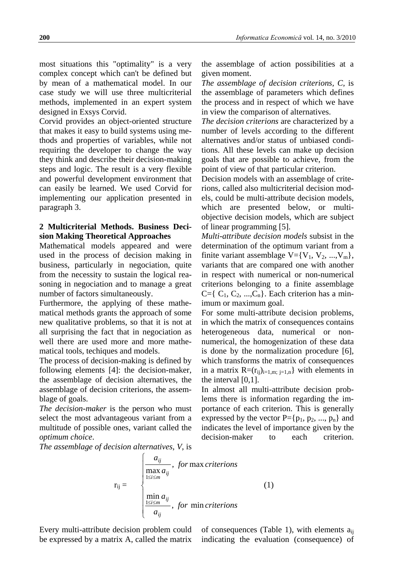most situations this "optimality" is a very complex concept which can't be defined but by mean of a mathematical model. In our case study we will use three multicriterial methods, implemented in an expert system designed in Exsys Corvid.

Corvid provides an object-oriented structure that makes it easy to build systems using methods and properties of variables, while not requiring the developer to change the way they think and describe their decision-making steps and logic. The result is a very flexible and powerful development environment that can easily be learned. We used Corvid for implementing our application presented in paragraph 3.

### **2 Multicriterial Methods. Business Decision Making Theoretical Approaches**

Mathematical models appeared and were used in the process of decision making in business, particularly in negociation, quite from the necessity to sustain the logical reasoning in negociation and to manage a great number of factors simultaneously.

Furthermore, the applying of these mathematical methods grants the approach of some new qualitative problems, so that it is not at all surprising the fact that in negociation as well there are used more and more mathematical tools, techiques and models.

The process of decision-making is defined by following elements [4]: the decision-maker, the assemblage of decision alternatives, the assemblage of decision criterions, the assemblage of goals.

*The decision-maker* is the person who must select the most advantageous variant from a multitude of possible ones, variant called the *optimum choice*.

the assemblage of action possibilities at a given moment.

*The assemblage of decision criterions, C,* is the assemblage of parameters which defines the process and in respect of which we have in view the comparison of alternatives.

*The decision criterions* are characterized by a number of levels according to the different alternatives and/or status of unbiased conditions. All these levels can make up decision goals that are possible to achieve, from the point of view of that particular criterion.

Decision models with an assemblage of criterions, called also multicriterial decision models, could be multi-attribute decision models, which are presented below, or multiobjective decision models, which are subject of linear programming [5].

*Multi-attribute decision models* subsist in the determination of the optimum variant from a finite variant assemblage  $V = \{V_1, V_2, ..., V_m\},\$ variants that are compared one with another in respect with numerical or non-numerical criterions belonging to a finite assemblage  $C=\{C_1, C_2, ..., C_n\}$ . Each criterion has a minimum or maximum goal.

For some multi-attribute decision problems, in which the matrix of consequences contains heterogeneous data, numerical or nonnumerical, the homogenization of these data is done by the normalization procedure [6], which transforms the matrix of consequences in a matrix  $R=(r_{ij})_{i=1,m; i=1,n}$  with elements in the interval [0,1].

In almost all multi-attribute decision problems there is information regarding the importance of each criterion. This is generally expressed by the vector  $P = \{p_1, p_2, ..., p_n\}$  and indicates the level of importance given by the decision-maker to each criterion.

*The assemblage of decision alternatives*, *V*, is

$$
\mathbf{r}_{ij} = \begin{cases}\n\frac{a_{ij}}{\max a_{ij}}, & \text{for max criterion s} \\
\frac{\sum_{1 \le i \le m} a_{ij}}{\min a_{ij}}, & \text{for min criterion s} \\
\frac{a_{ij}}{a_{ij}}, & \text{for min criterion s}\n\end{cases}
$$
\n(1)

Every multi-attribute decision problem could be expressed by a matrix A, called the matrix

of consequences (Table 1), with elements  $a_{ii}$ indicating the evaluation (consequence) of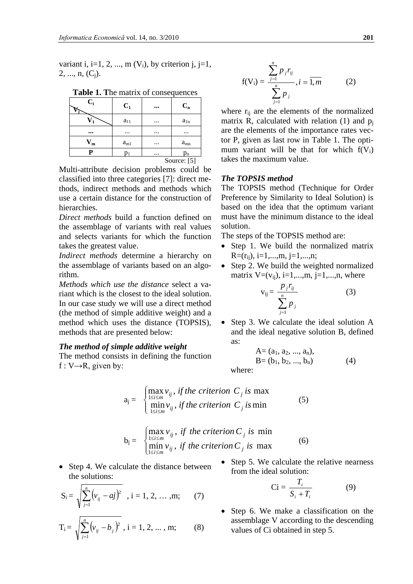variant i, i=1, 2, ..., m  $(V_i)$ , by criterion j, j=1,  $2, \ldots, n, (C_i)$ .

| $C_i$       | $C_1$    |          | $C_n$    |  |
|-------------|----------|----------|----------|--|
|             | $a_{11}$ |          | $a_{1n}$ |  |
|             | $\cdots$ | $\cdots$ | $\cdots$ |  |
| m           | $a_{m1}$ |          | $a_{mn}$ |  |
|             |          | $\cdots$ | $p_{n}$  |  |
| Source: [5] |          |          |          |  |

**Table 1. T**he matrix of consequences

Multi-attribute decision problems could be classified into three categories [7]: direct methods, indirect methods and methods which use a certain distance for the construction of hierarchies.

*Direct methods* build a function defined on the assemblage of variants with real values and selects variants for which the function takes the greatest value.

*Indirect methods* determine a hierarchy on the assemblage of variants based on an algorithm.

*Methods which use the distance* select a variant which is the closest to the ideal solution. In our case study we will use a direct method (the method of simple additive weight) and a method which uses the distance (TOPSIS), methods that are presented below:

#### *The method of simple additive weight*

The method consists in defining the function  $f: V \rightarrow R$ , given by:

$$
f(V_i) = \frac{\sum_{j=1}^{n} p_j r_{ij}}{\sum_{j=1}^{n} p_j}, i = \overline{1, m}
$$
 (2)

where  $r_{ii}$  are the elements of the normalized matrix R, calculated with relation  $(1)$  and  $p_i$ are the elements of the importance rates vector P, given as last row in Table 1. The optimum variant will be that for which  $f(V_i)$ takes the maximum value.

#### *The TOPSIS method*

The TOPSIS method (Technique for Order Preference by Similarity to Ideal Solution) is based on the idea that the optimum variant must have the minimum distance to the ideal solution.

The steps of the TOPSIS method are:

- Step 1. We build the normalized matrix  $R=(r_{ii}), i=1,...,m, j=1,...,n;$
- Step 2. We build the weighted normalized matrix  $V=(v_{ii}), i=1,...,m, i=1,...,n$ , where

$$
v_{ij} = \frac{p_j r_{ij}}{\sum_{j=1}^n p_j}
$$
 (3)

• Step 3. We calculate the ideal solution A and the ideal negative solution B, defined as:

A= (a1, a2, ..., an), B= (b1, b2, ..., bn) (4)

where:

$$
a_j = \begin{cases} \max_{1 \le i \le m} v_{ij}, & \text{if the criterion } C_j \text{ is max} \\ \min_{1 \le i \le m} v_{ij}, & \text{if the criterion } C_j \text{ is min} \end{cases} \tag{5}
$$

$$
b_j = \begin{cases} \max_{1 \le i \le m} v_{ij}, & \text{if the criterion } C_j \text{ is } \min \\ \min_{1 \le i \le m} v_{ij}, & \text{if the criterion } C_j \text{ is } \max \end{cases}
$$
 (6)

• Step 4. We calculate the distance between the solutions:

$$
S_i = \sqrt{\sum_{j=1}^n (v_{ij} - aj)^2}, \ i = 1, 2, ..., m; \qquad (7)
$$

$$
T_i = \sqrt{\sum_{j=1}^{n} (v_{ij} - b_j)^2}, i = 1, 2, ..., m;
$$
 (8)

• Step 5. We calculate the relative nearness from the ideal solution:

$$
Ci = \frac{T_i}{S_i + T_i} \tag{9}
$$

• Step 6. We make a classification on the assemblage V according to the descending values of Ci obtained in step 5.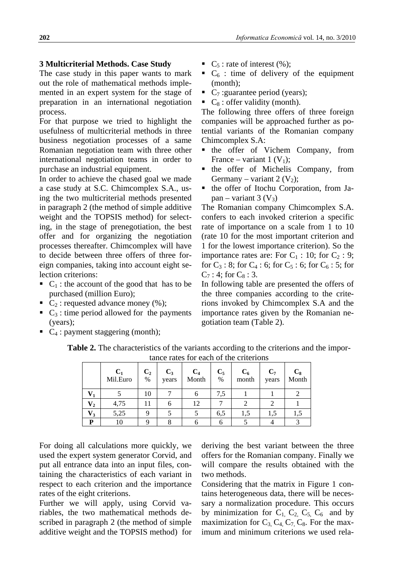#### **3 Multicriterial Methods. Case Study**

The case study in this paper wants to mark out the role of mathematical methods implemented in an expert system for the stage of preparation in an international negotiation process.

For that purpose we tried to highlight the usefulness of multicriterial methods in three business negotiation processes of a same Romanian negotiation team with three other international negotiation teams in order to purchase an industrial equipment.

In order to achieve the chased goal we made a case study at S.C. Chimcomplex S.A., using the two multicriterial methods presented in paragraph 2 (the method of simple additive weight and the TOPSIS method) for selecting, in the stage of prenegotiation, the best offer and for organizing the negotiation processes thereafter. Chimcomplex will have to decide between three offers of three foreign companies, taking into account eight selection criterions:

- $\bullet$  C<sub>1</sub> : the account of the good that has to be purchased (million Euro);
- $\bullet$  C<sub>2</sub> : requested advance money (%);
- $\bullet$  C<sub>3</sub> : time period allowed for the payments (years);
- $\bullet$  C<sub>4</sub> : payment staggering (month);
- $\bullet$  C<sub>5</sub> : rate of interest (%);
- $\bullet$  C<sub>6</sub> : time of delivery of the equipment (month);
- $\bullet$  C<sub>7</sub> : guarantee period (years);
- $\bullet$  C<sub>8</sub> : offer validity (month).

The following three offers of three foreign companies will be approached further as potential variants of the Romanian company Chimcomplex S.A:

- **the offer of Vichem Company, from** France – variant 1  $(V_1)$ ;
- the offer of Michelis Company, from Germany – variant 2  $(V_2)$ ;
- the offer of Itochu Corporation, from Japan – variant 3  $(V_3)$

The Romanian company Chimcomplex S.A. confers to each invoked criterion a specific rate of importance on a scale from 1 to 10 (rate 10 for the most important criterion and 1 for the lowest importance criterion). So the importance rates are: For  $C_1$  : 10; for  $C_2$  : 9; for  $C_3$ : 8; for  $C_4$ : 6; for  $C_5$ : 6; for  $C_6$ : 5; for  $C_7$ : 4; for  $C_8$ : 3.

In following table are presented the offers of the three companies according to the criterions invoked by Chimcomplex S.A and the importance rates given by the Romanian negotiation team (Table 2).

|                           | $C_1$<br>Mil.Euro | C <sub>2</sub><br>$\%$ | $C_3$<br>years | $C_4$<br>Month | $C_5$<br>% | $C_6$<br>month | $C_7$<br>years | $C_8$<br>Month |
|---------------------------|-------------------|------------------------|----------------|----------------|------------|----------------|----------------|----------------|
|                           |                   | 10                     |                |                | 7.5        |                |                |                |
| $\mathbf{V}_{\mathbf{2}}$ | 4,75              | 11                     |                | 12             |            |                |                |                |
| $V_3$                     | 5,25              | Q                      |                |                | 6,5        | 1.5            | 1.5            |                |
| D                         | 10                |                        |                |                |            |                |                |                |

**Table 2.** The characteristics of the variants according to the criterions and the importance rates for each of the criterions

For doing all calculations more quickly, we used the expert system generator Corvid, and put all entrance data into an input files, containing the characteristics of each variant in respect to each criterion and the importance rates of the eight criterions.

Further we will apply, using Corvid variables, the two mathematical methods described in paragraph 2 (the method of simple additive weight and the TOPSIS method) for

deriving the best variant between the three offers for the Romanian company. Finally we will compare the results obtained with the two methods.

Considering that the matrix in Figure 1 contains heterogeneous data, there will be necessary a normalization procedure. This occurs by minimization for  $C_1$ ,  $C_2$ ,  $C_5$ ,  $C_6$  and by maximization for  $C_3$ ,  $C_4$ ,  $C_7$ ,  $C_8$ . For the maximum and minimum criterions we used rela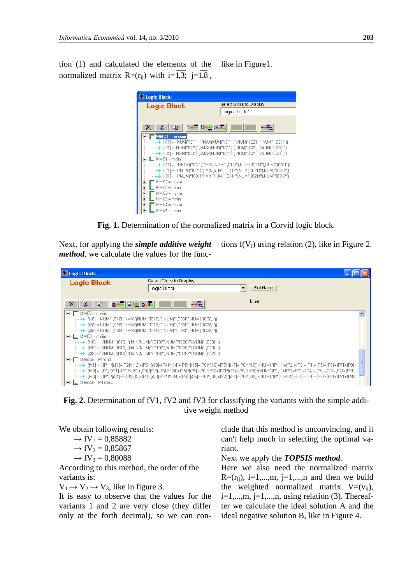tion (1) and calculated the elements of the normalized matrix  $R=(r_{ii})$  with  $i=\overline{1,3}$ ;  $j=\overline{1,8}$ , like in Figure1.



**Fig. 1.** Determination of the normalized matrix in a Corvid logic block.

Next, for applying the *simple additive weight method*, we calculate the values for the func-

tions  $f(V_i)$  using relation (2), like in Figure 2.

| <b>Logic Block:</b>                                                                                                                                                                                                                                                                                                                                             |                                                                                |                                                                                                                                                                      |   |
|-----------------------------------------------------------------------------------------------------------------------------------------------------------------------------------------------------------------------------------------------------------------------------------------------------------------------------------------------------------------|--------------------------------------------------------------------------------|----------------------------------------------------------------------------------------------------------------------------------------------------------------------|---|
| <b>Logic Block</b>                                                                                                                                                                                                                                                                                                                                              | Select Block to Display:                                                       |                                                                                                                                                                      |   |
|                                                                                                                                                                                                                                                                                                                                                                 | Logic Block 1                                                                  | Edit Name                                                                                                                                                            |   |
| $\begin{picture}(130,10) \put(0,0){\line(1,0){10}} \put(15,0){\line(1,0){10}} \put(15,0){\line(1,0){10}} \put(15,0){\line(1,0){10}} \put(15,0){\line(1,0){10}} \put(15,0){\line(1,0){10}} \put(15,0){\line(1,0){10}} \put(15,0){\line(1,0){10}} \put(15,0){\line(1,0){10}} \put(15,0){\line(1,0){10}} \put(15,0){\line(1,0){10}} \put(15,0){\line($<br>$\times$ | —,≂_                                                                           | Line:                                                                                                                                                                |   |
| MMC8 = maxim<br>E-I                                                                                                                                                                                                                                                                                                                                             | ----→ [r18] = NUM(''{C18}'')/MAX(NUM(''{C18}''),NUM(''{C28}''),NUM(''{C38}'')) |                                                                                                                                                                      | ∧ |
|                                                                                                                                                                                                                                                                                                                                                                 | --- →   r28] = NUM("{C28}")/MAX(NUM("{C18}"),NUM("{C28}"),NUM("{C38}"))        |                                                                                                                                                                      |   |
|                                                                                                                                                                                                                                                                                                                                                                 |                                                                                |                                                                                                                                                                      |   |
| $\Box$ MMC8 = minim                                                                                                                                                                                                                                                                                                                                             |                                                                                |                                                                                                                                                                      |   |
|                                                                                                                                                                                                                                                                                                                                                                 |                                                                                |                                                                                                                                                                      |   |
|                                                                                                                                                                                                                                                                                                                                                                 |                                                                                |                                                                                                                                                                      |   |
| Metoda = MPond<br>E-                                                                                                                                                                                                                                                                                                                                            |                                                                                |                                                                                                                                                                      |   |
|                                                                                                                                                                                                                                                                                                                                                                 |                                                                                |                                                                                                                                                                      |   |
|                                                                                                                                                                                                                                                                                                                                                                 |                                                                                |                                                                                                                                                                      |   |
| $\overline{\phantom{a}}$ Metoda = MTopsis<br>$ -$                                                                                                                                                                                                                                                                                                               |                                                                                | iiiiiiiiiii) = {{P1}*{r31}+{P2}*{r32}+{P3}*{r33}+{P4}*{r34}+{P5}*{r35}+{P6}*{r35}+{P7}*{r37}+{P8}*{r38}}/{NUM{"{P1}"}+{P2}+{P3}+{P4}+{P5}+{P6}+{P6}+{P6}+{P7}+{P8}}} |   |
|                                                                                                                                                                                                                                                                                                                                                                 |                                                                                |                                                                                                                                                                      |   |

**Fig. 2.** Determination of fV1, fV2 and fV3 for classifying the variants with the simple additive weight method

We obtain following results:

 $\rightarrow$  fV<sub>1</sub> = 0,85882  $\rightarrow$  fV<sub>2</sub> = 0,85867

 $\rightarrow$  fV<sub>3</sub> = 0,80088

According to this method, the order of the variants is:

 $V_1 \rightarrow V_2 \rightarrow V_3$ , like in figure 3.

It is easy to observe that the values for the variants 1 and 2 are very close (they differ only at the forth decimal), so we can conclude that this method is unconvincing, and it can't help much in selecting the optimal variant.

Next we apply the *TOPSIS method*.

Here we also need the normalized matrix  $R=(r_{ii})$ , i=1,...,m, i=1,...,n and then we build the weighted normalized matrix  $V=(v_{ii})$ ,  $i=1,...,m$ ,  $j=1,...,n$ , using relation (3). Thereafter we calculate the ideal solution A and the ideal negative solution B, like in Figure 4.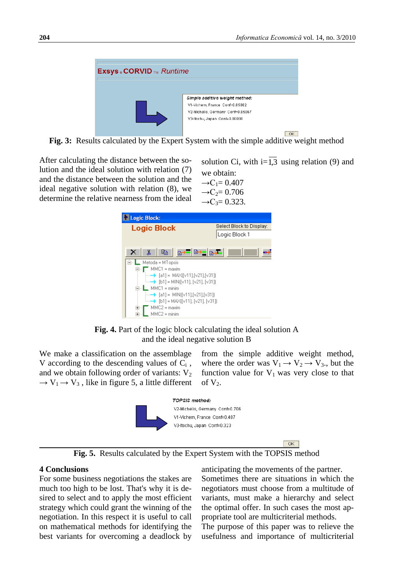

**Fig. 3:** Results calculated by the Expert System with the simple additive weight method

After calculating the distance between the solution and the ideal solution with relation (7) and the distance between the solution and the ideal negative solution with relation (8), we determine the relative nearness from the ideal

solution Ci, with  $i=1,3$  using relation (9) and we obtain:  $\rightarrow$ C<sub>1</sub>= 0.407







We make a classification on the assemblage V according to the descending values of  $C_i$ , and we obtain following order of variants:  $V_2$  $\rightarrow$  V<sub>1</sub>  $\rightarrow$  V<sub>3</sub>, like in figure 5, a little different from the simple additive weight method, where the order was  $V_1 \rightarrow V_2 \rightarrow V_3$ , but the function value for  $V_1$  was very close to that of  $V_2$ .



 $\boxed{\alpha}$ 

**Fig. 5.** Results calculated by the Expert System with the TOPSIS method

#### **4 Conclusions**

For some business negotiations the stakes are much too high to be lost. That's why it is desired to select and to apply the most efficient strategy which could grant the winning of the negotiation. In this respect it is useful to call on mathematical methods for identifying the best variants for overcoming a deadlock by

anticipating the movements of the partner.

Sometimes there are situations in which the negotiators must choose from a multitude of variants, must make a hierarchy and select the optimal offer. In such cases the most appropriate tool are multicriterial methods.

The purpose of this paper was to relieve the usefulness and importance of multicriterial